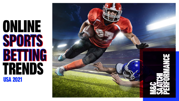# ONLINE TRENDS SPORTS BETTING BETTINGUSA 2021

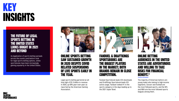

# KEY INSIGHTS

Online sports betting saw sustained growth in 2020 despite COVID related suspensions of live sports early in the year.

Legal sports betting garnered an alltime high of \$1.5 billion in revenue in 2020, up 69% year-over-year as reported by the American Gaming Association.



### Fanduel & DraftKings sportsbooks are the biggest players in the market; both brands remain in close competition.

Fanduel Sportsbook leads iOS downloads and DraftKings Sportsbook leads iOS active usage. Fanduel ranked #1 in the sports category in the days leading up to the 2021 Super Bowl.



online betting audiences in the United states are adventurous and willing to take risks for financial benefit.\*

\*Click here to read disclair

The majority of American bettors are young males who belong to high-income segments. Soccer and football are the most followed sports, and the NFL and NBA are the most followed sports leagues among them.



As legalization of sports betting spreads across the country and bettors look for legal sports betting options, online sportsbooks have been increasingly gaining popularity in the United States.

### THE FUTURE OF LEGAL SPORTS BETTING IN THE UNITED STATES LOOKS BRIGHT IN 2021

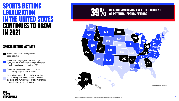

### CONTINUES TO GROW IN 2021 SPORTS BETTING LEGALIZATION IN THE UNITED STATES





States where single-game sports betting is legally offered to consumers through retail and/ or online sportsbooks (21 states + DC)

States where there's no legislation/ dead legislation

### OF ADULT AMERICANS ARE EITHER CURRENT or potential sports bettors

### SPORTS BETTING ACTIVITY

States that have authorized sports betting but are not yet operational (6 states)

Jurisdictions where bills to legalize single-game sports betting have been pre-filed/introduced in the state legislature or where a voter referendum is scheduled as of 2021 (13 states)

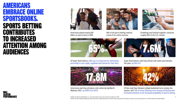SOURCE: The US Sports Betting Race is on – and many marketers want a piece of the action, AdAge Jan 14, 2021 3

Americans placed nearly \$35 billion on sports bets in 2020.



90% of all sports betting revenue comes from online sources.



DraftKings and FanDuel together comprise roughly 80% of the U.S. market.

Of Super Bowl bettors, 65% say it is important for themselves personally to use a legal, regulated sportsbook for their bets.

Super Bowl bettors said they will bet with online sportsbooks this year, up 63% YoY.

Americans said they will place a bet online during March Madness 2021, up 206% from 2019.

Of fans said they followed college basketball more closely this season, with 70% of those following more closely attributing their increased attention to the increased availability of sports betting.







### AMERICANS EMBRACE ONLINE SPORTSBOOKS. SPORTS BETTING CONTRIBUTES TO INCREASED ATTENTION AMONG AUDIENCES



SOURCE: 2021 March Madness Wagering Estimates, Super Bowl LV Wagering Estimates, American Gaming Association Note: Estimates are based on surveys conducted prior to the 2021 Superbowl and March Madness



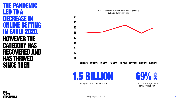4

Legal sports betting revenue in 2020 VoY increase in legal sports betting revenue 2020

| <b>THE PANDEMIC</b> |    |
|---------------------|----|
| LED TO A            | 50 |
| DECREASE IN         |    |
| ONLINE BETTING      | 45 |
| IN EARLY 2020.      | 40 |
|                     | 35 |
| HOWEVER THE         | 30 |
| <b>CATEGORY HAS</b> | 25 |
|                     | 20 |
| RECOVERED AND       | 15 |
| <b>HAS THRIVED</b>  | 10 |
| SINGE THEN          |    |
|                     |    |



% of audience that visited an online casino, gambling, betting or lottery services



### Q1 2019 Q2 2019 Q3 2019 Q4 2019 Q1 2020 Q2 2020 Q3 2020 Q4 2020

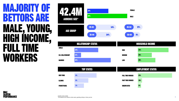5

# MAJORITY OF BETTORS ARE MALE, YOUNG, HIGH INCOME, FULL TIME WORKERS







| <b>NEW YORK</b>    | 9% |
|--------------------|----|
|                    | 5% |
| <b>ILLINOIS</b>    |    |
| <b>PENNSYVANIA</b> | 3% |
|                    |    |

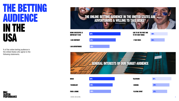

# THE BETTING AUDIENCE IN THE USA

### THE ONLINE BETTING AUDIENCE IN THE UNITED STATES ARE ADVENTUROUS & WILLING TO TAKE RISKS\*

i am adventorous

Being successful is important to me

**i am confident 67%** 





| <b>MUSIC</b>            | 56% | <b>TELEVISION</b>    | 51%        |
|-------------------------|-----|----------------------|------------|
| <b>TECHNOLOGY</b>       | 54% | <b>COOKING</b>       | 49%        |
| <b>Food &amp; Drink</b> | 53% | <b>PLAYING SPORT</b> | <b>47%</b> |





% of the online betting audience in the United States who agree to the following statements.





music

[\\*Click here to read disclaimer](#page-12-0)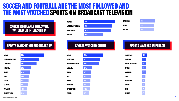7

Sports watched on Broadcast TV

**SOCCER** 

### Sports regularly followed, watched or interested in



| <b>31%</b> |  |  |
|------------|--|--|
| <b>29%</b> |  |  |
| <b>29%</b> |  |  |

# soccer basketball basketball and the second service of the service of the service basketball base of the basketball basketball baseball baseball baseball baseball baseball baseball baseball baseball baseball baseball baseball american football american football and the second series of the series of the series of the series of the series of the series of the series of the series of the series of the series of the series of the series of the ser

### SPORTS WATCHED ONLINE SPORTS WATCHED IN PERSON

| <b>SOCCER</b>            | 52%        | <b>SOCCER</b>            | <b>44%</b> | <b>BASKETBAL</b>  |
|--------------------------|------------|--------------------------|------------|-------------------|
| <b>AMERICAN FOOTBALL</b> | 42%        | <b>BASKETBALL</b>        | 31%        | <b>BASEBALL</b>   |
| <b>BASKETBALL</b>        | 40%        | <b>AMERICAN FOOTBALL</b> | 30%        | <b>AMERICAN</b>   |
| <b>BASEBALL</b>          | <b>29%</b> | <b>BASEBALL</b>          | 20%        | <b>SOCCER</b>     |
| <b>TENNIS</b>            | <b>21%</b> | <b>TENNIS</b>            | 17%        | <b>SWIMMING</b>   |
| <b>GOLF</b>              | <b>20%</b> | <b>GOLF</b>              | <b>16%</b> | <b>TENNIS</b>     |
| <b>BOXING</b>            | <b>19%</b> | <b>BOXING</b>            | 15%        | <b>ICE HOCKEY</b> |
| <b>ICE HOCKEY</b>        | 17%        | <b>SWIMMING</b>          | 15%        | <b>BOXING</b>     |
| <b>SWIMMING</b>          | 17%        | <b>MOTOR SPORTS</b>      | 14%        | <b>GOLF</b>       |
| <b>MOTOR SPORTS</b>      | <b>16%</b> | <b>CYCLING</b>           | 13%        | <b>CYCLING</b>    |

american Football

| <b>CCER</b>                    |
|--------------------------------|
| <b><i>\Sketball</i></b>        |
| <b><i>MERICAN FOOTBALL</i></b> |
| <b><i>SEBALL</i></b>           |
| <b>NNIS</b>                    |
| )LF                            |
| <b>XING</b>                    |
| Vimming                        |
| DTOR SPORTS                    |
| <b>CLING</b>                   |

**BASKETBALL** 

**BASEBALL** 

| 52%        |  | <b>SOCCER</b>            | 44%        | <b>BASKETBALL</b>        | <b>10%</b>        |
|------------|--|--------------------------|------------|--------------------------|-------------------|
| 42%        |  | <b>BASKETBALL</b>        | 31%        | <b>BASEBALL</b>          | 9%                |
| 40%        |  | <b>AMERICAN FOOTBALL</b> | 30%        | <b>AMERICAN FOOTBALL</b> | 9%                |
| <b>29%</b> |  | <b>BASEBALL</b>          | 20%        | <b>SOCCER</b>            | 9%                |
| 21%        |  | <b>TENNIS</b>            | 17%        | <b>SWIMMING</b>          | 6%                |
| <b>20%</b> |  | <b>GOLF</b>              | <b>16%</b> | <b>TENNIS</b>            | 5%                |
| <b>19%</b> |  | <b>BOXING</b>            | <b>15%</b> | <b>ICE HOCKEY</b>        | 4%                |
| 17%        |  | <b>SWIMMING</b>          | <b>15%</b> | <b>BOXING</b>            | 4%                |
| 17%        |  | <b>MOTOR SPORTS</b>      | <b>14%</b> | <b>GOLF</b>              | $4\%$             |
| 16%        |  | <b>CYCLING</b>           | 13%        | <b>CYCLING</b>           | $\frac{4\%}{4\%}$ |





SOURCE: GWI Zeitgeist: Jan 2021

### SOCCER AND FOOTBALL ARE THE MOST FOLLOWED AND THE MOST WATCHED SPORTS ON BROADCAST TELEVISION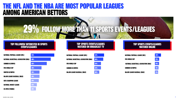

### Top followed/ interested in sports events/leagues

### Top sports events/leagues watched on Broadcast TV

### Top sports events/leagues watched online



| 53%        |  |  |
|------------|--|--|
| 48%        |  |  |
| 42%        |  |  |
| 39%        |  |  |
| 30%        |  |  |
| 30%        |  |  |
| 29%        |  |  |
| <b>22%</b> |  |  |
| <b>20%</b> |  |  |

### **FL AND THE NBA ARE MOST POPULAR LEAGUES** AMONG AMERICAN BETTORS

uefa champion league

national basketball association (nba)

national hockey league

us open (tennis)

summer olympics

**FIFA WORLD CUP** 

winter olympics

major league baseball (MLB)







# 29% Follow more than 11 sports events/leagues

FIFA World cup

summer olympics

major league baseball (MLB)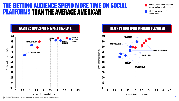





### THE BETTING AUDIENCE SPEND MORE TIME ON SOCIAL **PLATFORMS THAN THE AVERAGE AMERICAN UNITED REPARTION CONSTRUCTS AND All internet us**





SOURCE: GWI, Q4 2020

% shows the reach; how many people in your Audience have agreed to a statement or used a particular platform in the past mont

Audience who visited an online casino, betting or lottery service

All internet users in the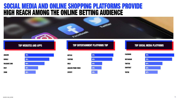

### top websites and apps Top entertainment platforms Top Top social media platforms



### L MEDIA AND ONLINE SHOPPING PLATFORMS PROVIDE HIGH REACH AMONG THE ONLINE BETTING AUDIENCE





| <b>NETFLIX</b>            |
|---------------------------|
| <b>YOUTUBE</b>            |
| <b>HULU</b>               |
| <b>AMAZON PRIME VIDEO</b> |
| <b>SPOTIFY</b>            |



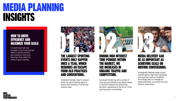

# MEDIA PLANNING INSIGHTS

### The largest sporting events only happen once a year, which requires an escape from old practices and conventions.

Consistent testing is key to success within the sports betting space to ensure that inventory is varied and achieve scale.



### During high interest time periods within the market, we see increases in organic traffic and competition.

Increased monitoring with a variety of tools secures efficiency and allows media to optimize towards top performing partners, capitalizing on the fervor of the sporting events successfully.



### HOW TO DRIVE EFFICIENCY AND<br>MAXIMIZE YOUR SCALE

### Media delivery can be as important as achieving scale or driving conversions.

Strategically flighting media around specific games, high intent weekends, and assuring creative is weighted accordingly helps to manage our spend and allows us to drive the most efficient conversions.

It is both important and strategic to surround yourself within a cultural moment, and nowhere is this more Important than within the world of sports betting.

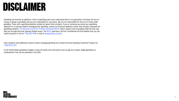

# <span id="page-12-0"></span>DISCLAIMER

Gambling can become an addiction. Users of gambling sites must understand there is no guarantee of winning, the loss of money is always a possibility and you are responsible for any losses. We are not responsible for the loss of money while gambling. Those with a gambling addiction should not ignore their problem. If you or someone you know has a gambling addiction or is having problems managing their gambling, contact an American addiction center that includes treatment for gambling problems. The National Council for Problem Gambling (NCPG) offers support and counselling referrals that may help you through personal, gaming-related issues. The NCPG operates a 24-hour confidential toll-free helpline that you can reach by phone or text at 1-800-522-4700 or chat at ncpgambling.org/chat.

Iowa residents with additional concerns about managing gambling can contact the Iowa Gambling Treatment Program at 1-800-BETS-OFF.

In the United States gambling is illegal in many US states and restrictions such as age are in place. Illegal gambling is a misdemeanor that carries penalties in the USA.

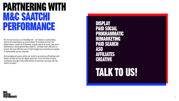

# PARTNERING WITH M&C SAATCHI PERFORMANCE

No one can accuse us of standing still - our industry is advertising and we are operating in an environment of constant turmoil. Our global teams - made up of planning, buying, search & social, app store optimization, and programmatic experts - combine their skill sets to ensure the most efficient use of client budget by preventing an overlap of deliverables across channels.

By leveraging all assets within our control, we improve efficiencies and deliver growth across the digital spectrum, from the initial creative touchpoint through to the optimization of customer journeys with the clients' product.



DISPLAY PAID SOCIAL PROGRAMMATIC REMARKETING PAID SEARCH ASO AFFILIATES CREATIVE

# [TALK TO US!](mailto:ny%40mcsaatchiperformance.com?subject=)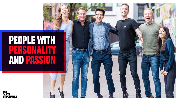# PEOPLE WITH PERSONALITY AND